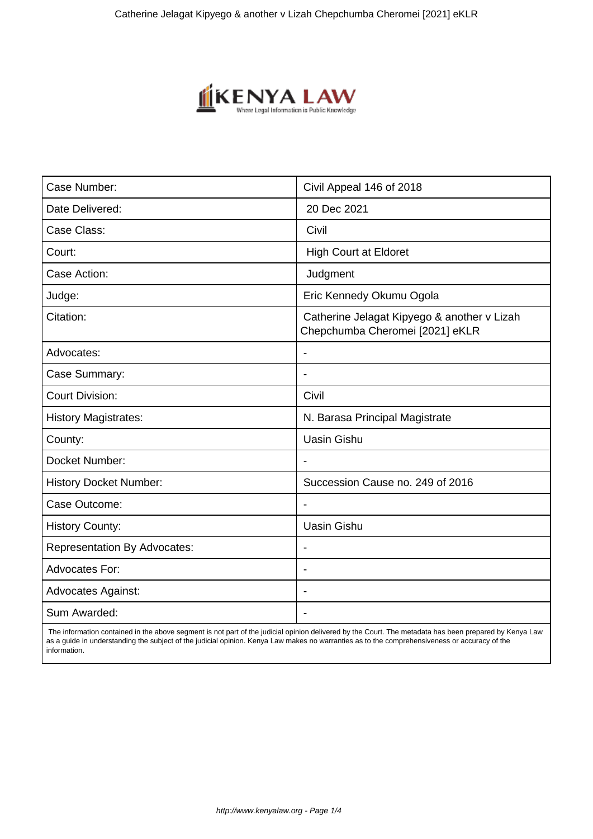

| Case Number:                        | Civil Appeal 146 of 2018                                                       |
|-------------------------------------|--------------------------------------------------------------------------------|
| Date Delivered:                     | 20 Dec 2021                                                                    |
| Case Class:                         | Civil                                                                          |
| Court:                              | <b>High Court at Eldoret</b>                                                   |
| Case Action:                        | Judgment                                                                       |
| Judge:                              | Eric Kennedy Okumu Ogola                                                       |
| Citation:                           | Catherine Jelagat Kipyego & another v Lizah<br>Chepchumba Cheromei [2021] eKLR |
| Advocates:                          |                                                                                |
| Case Summary:                       |                                                                                |
| <b>Court Division:</b>              | Civil                                                                          |
| <b>History Magistrates:</b>         | N. Barasa Principal Magistrate                                                 |
| County:                             | <b>Uasin Gishu</b>                                                             |
| Docket Number:                      |                                                                                |
| <b>History Docket Number:</b>       | Succession Cause no. 249 of 2016                                               |
| Case Outcome:                       |                                                                                |
| <b>History County:</b>              | <b>Uasin Gishu</b>                                                             |
| <b>Representation By Advocates:</b> | $\qquad \qquad \blacksquare$                                                   |
| <b>Advocates For:</b>               |                                                                                |
| <b>Advocates Against:</b>           |                                                                                |
| Sum Awarded:                        |                                                                                |

 The information contained in the above segment is not part of the judicial opinion delivered by the Court. The metadata has been prepared by Kenya Law as a guide in understanding the subject of the judicial opinion. Kenya Law makes no warranties as to the comprehensiveness or accuracy of the information.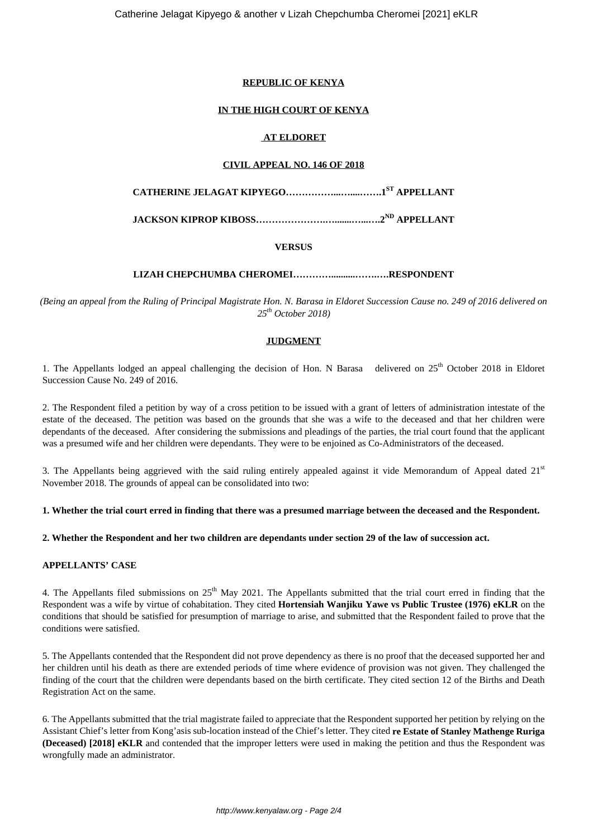## **REPUBLIC OF KENYA**

## **IN THE HIGH COURT OF KENYA**

### **AT ELDORET**

#### **CIVIL APPEAL NO. 146 OF 2018**

**CATHERINE JELAGAT KIPYEGO……………...…....…….1ST APPELLANT**

**JACKSON KIPROP KIBOSS………………….….......…...….2ND APPELLANT**

## **VERSUS**

## **LIZAH CHEPCHUMBA CHEROMEI…………..........…….….RESPONDENT**

*(Being an appeal from the Ruling of Principal Magistrate Hon. N. Barasa in Eldoret Succession Cause no. 249 of 2016 delivered on 25th October 2018)*

## **JUDGMENT**

1. The Appellants lodged an appeal challenging the decision of Hon. N Barasa delivered on 25<sup>th</sup> October 2018 in Eldoret Succession Cause No. 249 of 2016.

2. The Respondent filed a petition by way of a cross petition to be issued with a grant of letters of administration intestate of the estate of the deceased. The petition was based on the grounds that she was a wife to the deceased and that her children were dependants of the deceased. After considering the submissions and pleadings of the parties, the trial court found that the applicant was a presumed wife and her children were dependants. They were to be enjoined as Co-Administrators of the deceased.

3. The Appellants being aggrieved with the said ruling entirely appealed against it vide Memorandum of Appeal dated  $21<sup>st</sup>$ November 2018. The grounds of appeal can be consolidated into two:

**1. Whether the trial court erred in finding that there was a presumed marriage between the deceased and the Respondent.**

**2. Whether the Respondent and her two children are dependants under section 29 of the law of succession act.**

#### **APPELLANTS' CASE**

4. The Appellants filed submissions on  $25<sup>th</sup>$  May 2021. The Appellants submitted that the trial court erred in finding that the Respondent was a wife by virtue of cohabitation. They cited **Hortensiah Wanjiku Yawe vs Public Trustee (1976) eKLR** on the conditions that should be satisfied for presumption of marriage to arise, and submitted that the Respondent failed to prove that the conditions were satisfied.

5. The Appellants contended that the Respondent did not prove dependency as there is no proof that the deceased supported her and her children until his death as there are extended periods of time where evidence of provision was not given. They challenged the finding of the court that the children were dependants based on the birth certificate. They cited section 12 of the Births and Death Registration Act on the same.

6. The Appellants submitted that the trial magistrate failed to appreciate that the Respondent supported her petition by relying on the Assistant Chief's letter from Kong'asis sub-location instead of the Chief's letter. They cited **re Estate of Stanley Mathenge Ruriga (Deceased) [2018] eKLR** and contended that the improper letters were used in making the petition and thus the Respondent was wrongfully made an administrator.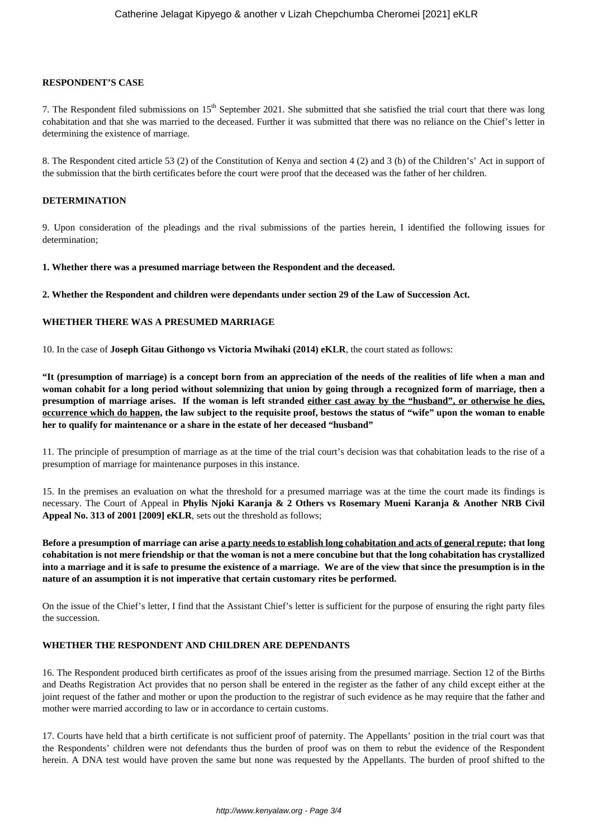#### **RESPONDENT'S CASE**

7. The Respondent filed submissions on  $15<sup>th</sup>$  September 2021. She submitted that she satisfied the trial court that there was long cohabitation and that she was married to the deceased. Further it was submitted that there was no reliance on the Chief's letter in determining the existence of marriage.

8. The Respondent cited article 53 (2) of the Constitution of Kenya and section 4 (2) and 3 (b) of the Children's' Act in support of the submission that the birth certificates before the court were proof that the deceased was the father of her children.

## **DETERMINATION**

9. Upon consideration of the pleadings and the rival submissions of the parties herein, I identified the following issues for determination;

**1. Whether there was a presumed marriage between the Respondent and the deceased.**

**2. Whether the Respondent and children were dependants under section 29 of the Law of Succession Act.**

#### **WHETHER THERE WAS A PRESUMED MARRIAGE**

10. In the case of **Joseph Gitau Githongo vs Victoria Mwihaki (2014) eKLR**, the court stated as follows:

**"It (presumption of marriage) is a concept born from an appreciation of the needs of the realities of life when a man and woman cohabit for a long period without solemnizing that union by going through a recognized form of marriage, then a presumption of marriage arises. If the woman is left stranded either cast away by the "husband", or otherwise he dies, occurrence which do happen, the law subject to the requisite proof, bestows the status of "wife" upon the woman to enable her to qualify for maintenance or a share in the estate of her deceased "husband"**

11. The principle of presumption of marriage as at the time of the trial court's decision was that cohabitation leads to the rise of a presumption of marriage for maintenance purposes in this instance.

15. In the premises an evaluation on what the threshold for a presumed marriage was at the time the court made its findings is necessary. The Court of Appeal in **Phylis Njoki Karanja & 2 Others vs Rosemary Mueni Karanja & Another NRB Civil Appeal No. 313 of 2001 [2009] eKLR**, sets out the threshold as follows;

**Before a presumption of marriage can arise a party needs to establish long cohabitation and acts of general repute; that long cohabitation is not mere friendship or that the woman is not a mere concubine but that the long cohabitation has crystallized into a marriage and it is safe to presume the existence of a marriage. We are of the view that since the presumption is in the nature of an assumption it is not imperative that certain customary rites be performed.**

On the issue of the Chief's letter, I find that the Assistant Chief's letter is sufficient for the purpose of ensuring the right party files the succession.

## **WHETHER THE RESPONDENT AND CHILDREN ARE DEPENDANTS**

16. The Respondent produced birth certificates as proof of the issues arising from the presumed marriage. Section 12 of the Births and Deaths Registration Act provides that no person shall be entered in the register as the father of any child except either at the joint request of the father and mother or upon the production to the registrar of such evidence as he may require that the father and mother were married according to law or in accordance to certain customs.

17. Courts have held that a birth certificate is not sufficient proof of paternity. The Appellants' position in the trial court was that the Respondents' children were not defendants thus the burden of proof was on them to rebut the evidence of the Respondent herein. A DNA test would have proven the same but none was requested by the Appellants. The burden of proof shifted to the